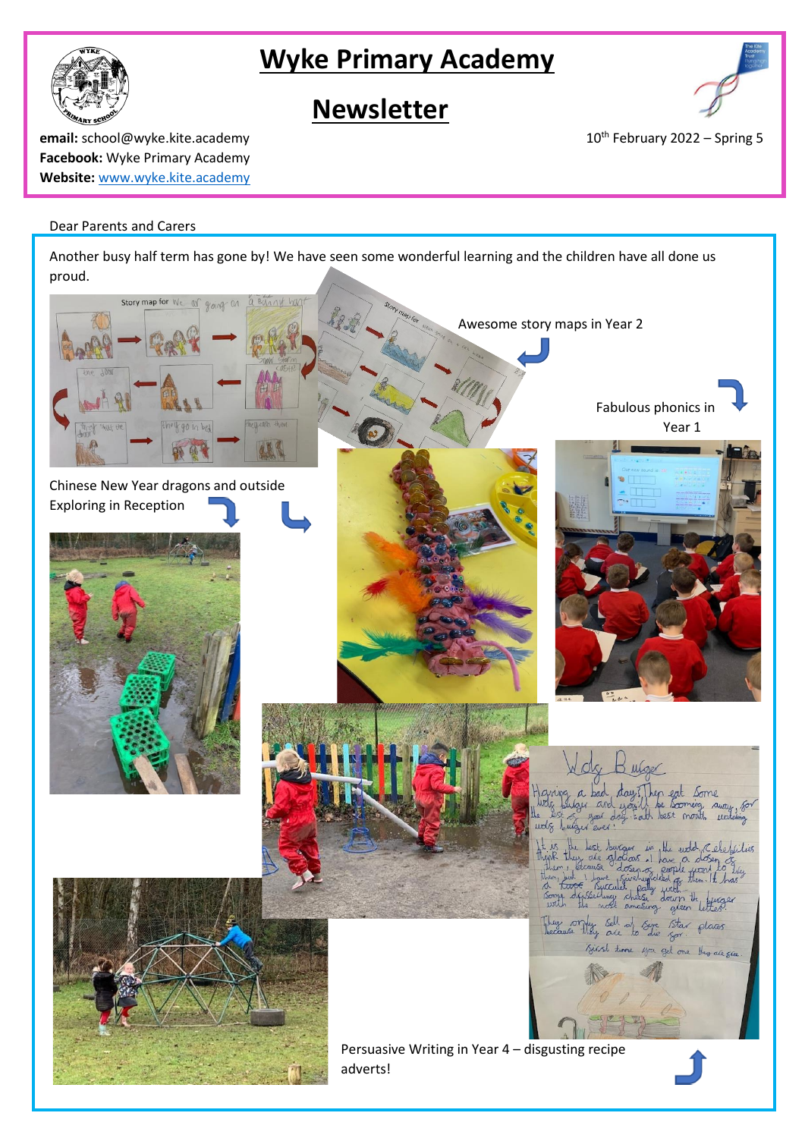

# **Wyke Primary Academy**

# **Newsletter**



**email:** school@wyke.kite.academy 10<sup>th</sup> February 2022 – Spring 5 **Facebook:** Wyke Primary Academy **Website:** [www.wyke.kite.academy](http://www.wyke.kite.academy/)

# Dear Parents and Carers

Another busy half term has gone by! We have seen some wonderful learning and the children have all done us proud.

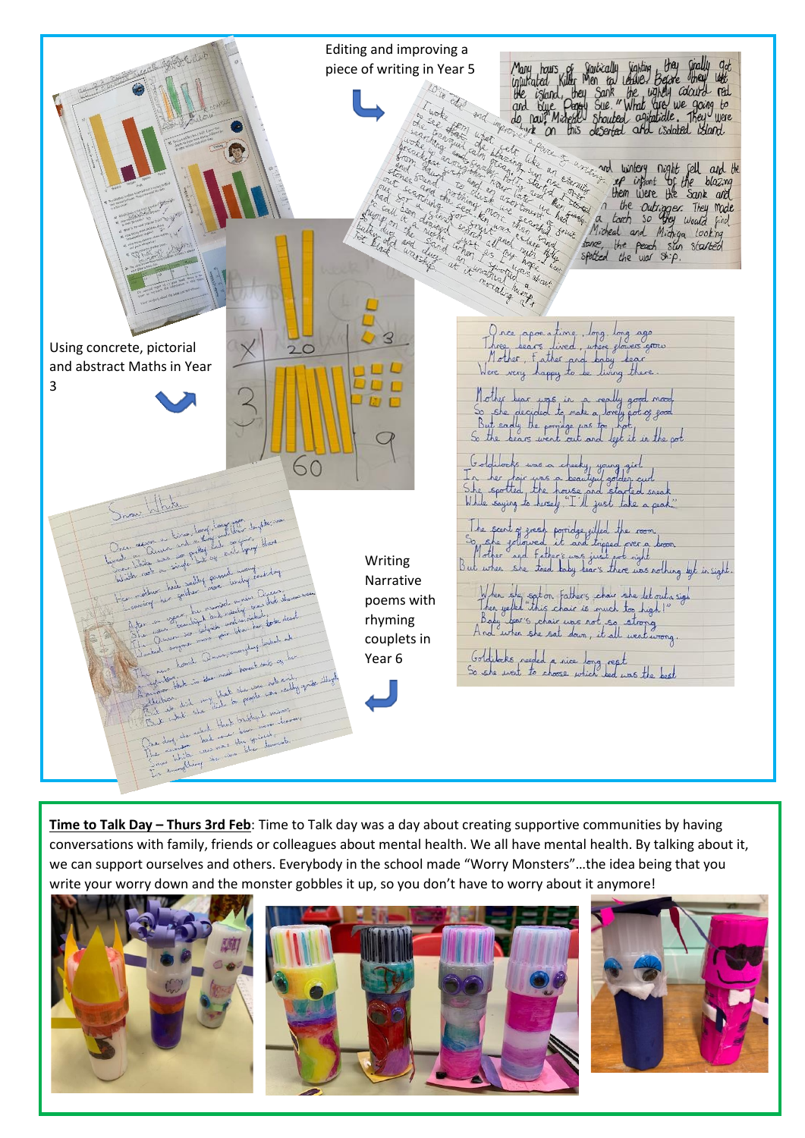

**Time to Talk Day – Thurs 3rd Feb**: Time to Talk day was a day about creating supportive communities by having conversations with family, friends or colleagues about mental health. We all have mental health. By talking about it, we can support ourselves and others. Everybody in the school made "Worry Monsters"…the idea being that you write your worry down and the monster gobbles it up, so you don't have to worry about it anymore!

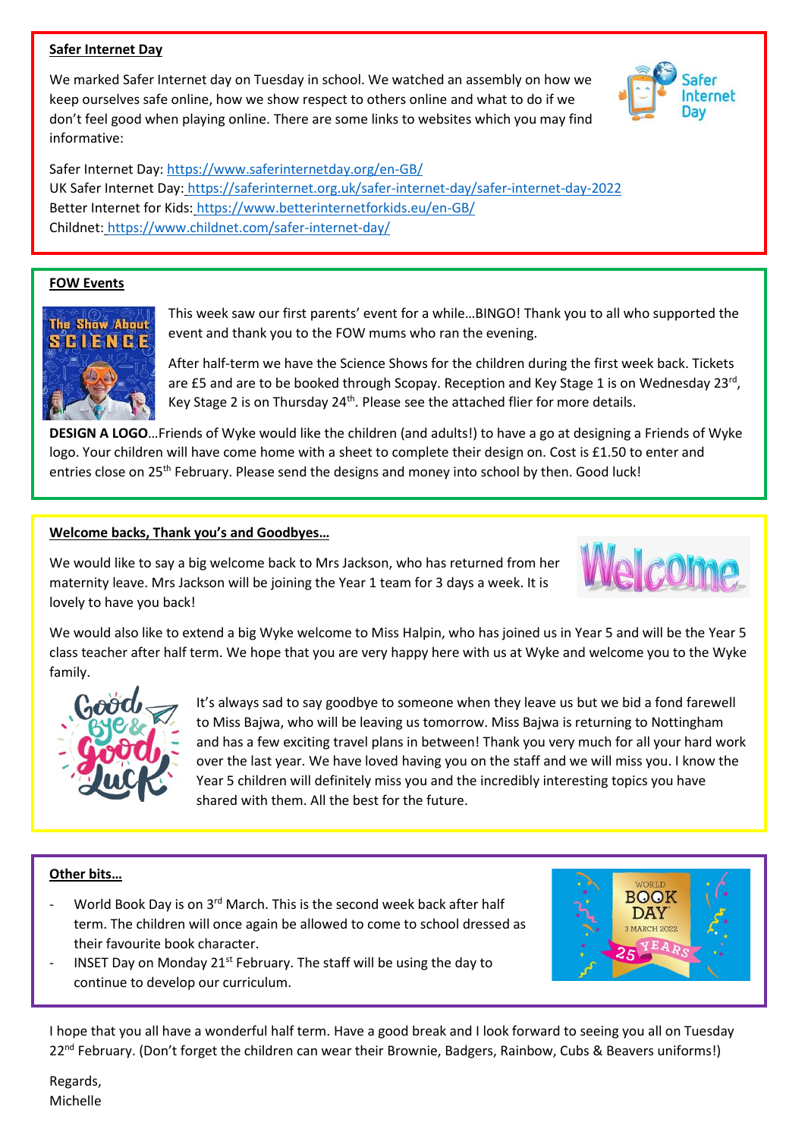## **Safer Internet Day**

We marked Safer Internet day on Tuesday in school. We watched an assembly on how we keep ourselves safe online, how we show respect to others online and what to do if we don't feel good when playing online. There are some links to websites which you may find informative:

Safer Internet Day[: https://www.saferinternetday.org/en-GB/](https://www.saferinternetday.org/en-GB/) UK Safer Internet Day: <https://saferinternet.org.uk/safer-internet-day/safer-internet-day-2022> Better Internet for Kids: <https://www.betterinternetforkids.eu/en-GB/> Childnet: <https://www.childnet.com/safer-internet-day/>

# **FOW Events**



This week saw our first parents' event for a while…BINGO! Thank you to all who supported the event and thank you to the FOW mums who ran the evening.

After half-term we have the Science Shows for the children during the first week back. Tickets are £5 and are to be booked through Scopay. Reception and Key Stage 1 is on Wednesday 23rd, Key Stage 2 is on Thursday  $24<sup>th</sup>$ . Please see the attached flier for more details.

**DESIGN A LOGO**…Friends of Wyke would like the children (and adults!) to have a go at designing a Friends of Wyke logo. Your children will have come home with a sheet to complete their design on. Cost is £1.50 to enter and entries close on 25<sup>th</sup> February. Please send the designs and money into school by then. Good luck!

### **Welcome backs, Thank you's and Goodbyes…**

We would like to say a big welcome back to Mrs Jackson, who has returned from her maternity leave. Mrs Jackson will be joining the Year 1 team for 3 days a week. It is lovely to have you back!



We would also like to extend a big Wyke welcome to Miss Halpin, who has joined us in Year 5 and will be the Year 5 class teacher after half term. We hope that you are very happy here with us at Wyke and welcome you to the Wyke family.



It's always sad to say goodbye to someone when they leave us but we bid a fond farewell to Miss Bajwa, who will be leaving us tomorrow. Miss Bajwa is returning to Nottingham and has a few exciting travel plans in between! Thank you very much for all your hard work over the last year. We have loved having you on the staff and we will miss you. I know the Year 5 children will definitely miss you and the incredibly interesting topics you have shared with them. All the best for the future.

### **Other bits…**

- World Book Day is on 3<sup>rd</sup> March. This is the second week back after half term. The children will once again be allowed to come to school dressed as their favourite book character.
- INSET Day on Monday 21<sup>st</sup> February. The staff will be using the day to continue to develop our curriculum.

**BOOK DAY** MARCH 2022

I hope that you all have a wonderful half term. Have a good break and I look forward to seeing you all on Tuesday 22<sup>nd</sup> February. (Don't forget the children can wear their Brownie, Badgers, Rainbow, Cubs & Beavers uniforms!)

Regards, Michelle